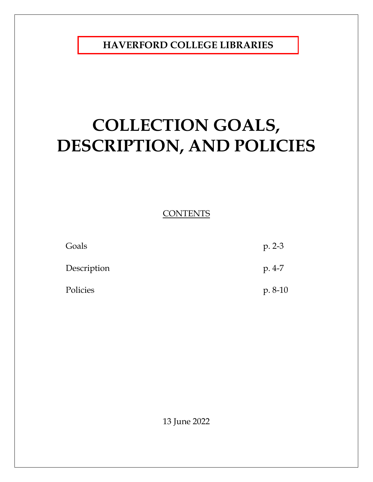**HAVERFORD COLLEGE LIBRARIES**

# **COLLECTION GOALS, DESCRIPTION, AND POLICIES**

**CONTENTS** 

| Goals       | $p. 2-3$  |
|-------------|-----------|
| Description | $p.4-7$   |
| Policies    | $p. 8-10$ |

13 June 2022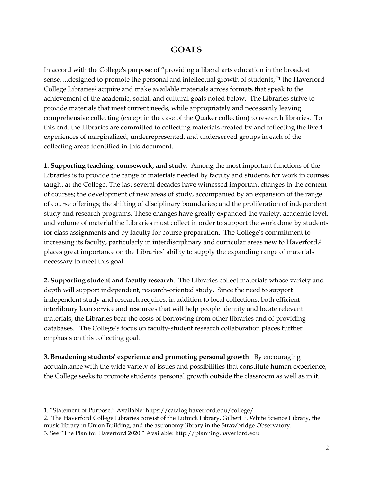# **GOALS**

In accord with the College's purpose of "providing a liberal arts education in the broadest sense….designed to promote the personal and intellectual growth of students,"1 the Haverford College Libraries<sup>2</sup> acquire and make available materials across formats that speak to the achievement of the academic, social, and cultural goals noted below. The Libraries strive to provide materials that meet current needs, while appropriately and necessarily leaving comprehensive collecting (except in the case of the Quaker collection) to research libraries. To this end, the Libraries are committed to collecting materials created by and reflecting the lived experiences of marginalized, underrepresented, and underserved groups in each of the collecting areas identified in this document.

**1. Supporting teaching, coursework, and study**. Among the most important functions of the Libraries is to provide the range of materials needed by faculty and students for work in courses taught at the College. The last several decades have witnessed important changes in the content of courses; the development of new areas of study, accompanied by an expansion of the range of course offerings; the shifting of disciplinary boundaries; and the proliferation of independent study and research programs. These changes have greatly expanded the variety, academic level, and volume of material the Libraries must collect in order to support the work done by students for class assignments and by faculty for course preparation. The College's commitment to increasing its faculty, particularly in interdisciplinary and curricular areas new to Haverford,<sup>3</sup> places great importance on the Libraries' ability to supply the expanding range of materials necessary to meet this goal.

**2. Supporting student and faculty research**. The Libraries collect materials whose variety and depth will support independent, research-oriented study. Since the need to support independent study and research requires, in addition to local collections, both efficient interlibrary loan service and resources that will help people identify and locate relevant materials, the Libraries bear the costs of borrowing from other libraries and of providing databases. The College's focus on faculty-student research collaboration places further emphasis on this collecting goal.

**3. Broadening students' experience and promoting personal growth**. By encouraging acquaintance with the wide variety of issues and possibilities that constitute human experience, the College seeks to promote students' personal growth outside the classroom as well as in it.

<sup>1. &</sup>quot;Statement of Purpose." Available: https://catalog.haverford.edu/college/

<sup>2.</sup> The Haverford College Libraries consist of the Lutnick Library, Gilbert F. White Science Library, the music library in Union Building, and the astronomy library in the Strawbridge Observatory. 3. See "The Plan for Haverford 2020." Available: http://planning.haverford.edu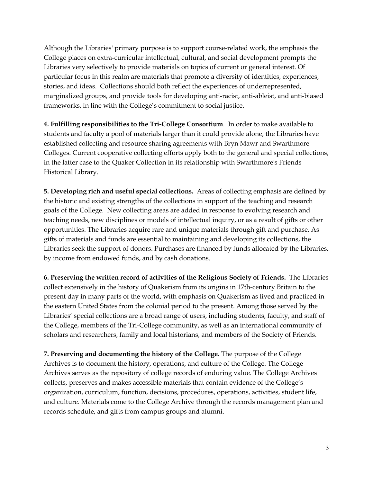Although the Libraries' primary purpose is to support course-related work, the emphasis the College places on extra-curricular intellectual, cultural, and social development prompts the Libraries very selectively to provide materials on topics of current or general interest. Of particular focus in this realm are materials that promote a diversity of identities, experiences, stories, and ideas. Collections should both reflect the experiences of underrepresented, marginalized groups, and provide tools for developing anti-racist, anti-ableist, and anti-biased frameworks, in line with the College's commitment to social justice.

**4. Fulfilling responsibilities to the Tri-College Consortium**. In order to make available to students and faculty a pool of materials larger than it could provide alone, the Libraries have established collecting and resource sharing agreements with Bryn Mawr and Swarthmore Colleges. Current cooperative collecting efforts apply both to the general and special collections, in the latter case to the Quaker Collection in its relationship with Swarthmore's Friends Historical Library.

**5. Developing rich and useful special collections.** Areas of collecting emphasis are defined by the historic and existing strengths of the collections in support of the teaching and research goals of the College. New collecting areas are added in response to evolving research and teaching needs, new disciplines or models of intellectual inquiry, or as a result of gifts or other opportunities. The Libraries acquire rare and unique materials through gift and purchase. As gifts of materials and funds are essential to maintaining and developing its collections, the Libraries seek the support of donors. Purchases are financed by funds allocated by the Libraries, by income from endowed funds, and by cash donations.

**6. Preserving the written record of activities of the Religious Society of Friends.** The Libraries collect extensively in the history of Quakerism from its origins in 17th-century Britain to the present day in many parts of the world, with emphasis on Quakerism as lived and practiced in the eastern United States from the colonial period to the present. Among those served by the Libraries' special collections are a broad range of users, including students, faculty, and staff of the College, members of the Tri-College community, as well as an international community of scholars and researchers, family and local historians, and members of the Society of Friends.

**7. Preserving and documenting the history of the College.** The purpose of the College Archives is to document the history, operations, and culture of the College. The College Archives serves as the repository of college records of enduring value. The College Archives collects, preserves and makes accessible materials that contain evidence of the College's organization, curriculum, function, decisions, procedures, operations, activities, student life, and culture. Materials come to the College Archive through the records management plan and records schedule, and gifts from campus groups and alumni.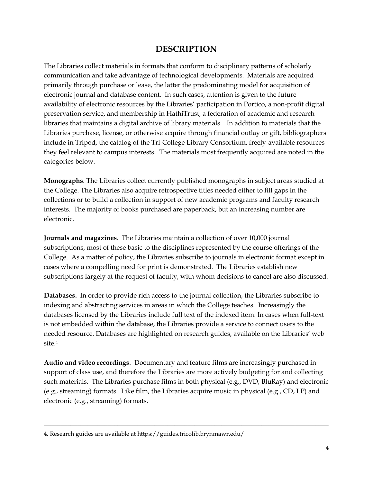# **DESCRIPTION**

The Libraries collect materials in formats that conform to disciplinary patterns of scholarly communication and take advantage of technological developments. Materials are acquired primarily through purchase or lease, the latter the predominating model for acquisition of electronic journal and database content. In such cases, attention is given to the future availability of electronic resources by the Libraries' participation in Portico, a non-profit digital preservation service, and membership in HathiTrust, a federation of academic and research libraries that maintains a digital archive of library materials. In addition to materials that the Libraries purchase, license, or otherwise acquire through financial outlay or gift, bibliographers include in Tripod, the catalog of the Tri-College Library Consortium, freely-available resources they feel relevant to campus interests. The materials most frequently acquired are noted in the categories below.

**Monographs**. The Libraries collect currently published monographs in subject areas studied at the College. The Libraries also acquire retrospective titles needed either to fill gaps in the collections or to build a collection in support of new academic programs and faculty research interests. The majority of books purchased are paperback, but an increasing number are electronic.

**Journals and magazines**. The Libraries maintain a collection of over 10,000 journal subscriptions, most of these basic to the disciplines represented by the course offerings of the College. As a matter of policy, the Libraries subscribe to journals in electronic format except in cases where a compelling need for print is demonstrated. The Libraries establish new subscriptions largely at the request of faculty, with whom decisions to cancel are also discussed.

**Databases.** In order to provide rich access to the journal collection, the Libraries subscribe to indexing and abstracting services in areas in which the College teaches. Increasingly the databases licensed by the Libraries include full text of the indexed item. In cases when full-text is not embedded within the database, the Libraries provide a service to connect users to the needed resource. Databases are highlighted on research guides, available on the Libraries' web site.4

**Audio and video recordings**. Documentary and feature films are increasingly purchased in support of class use, and therefore the Libraries are more actively budgeting for and collecting such materials. The Libraries purchase films in both physical (e.g., DVD, BluRay) and electronic (e.g., streaming) formats. Like film, the Libraries acquire music in physical (e.g., CD, LP) and electronic (e.g., streaming) formats.

<sup>4.</sup> Research guides are available at https://guides.tricolib.brynmawr.edu/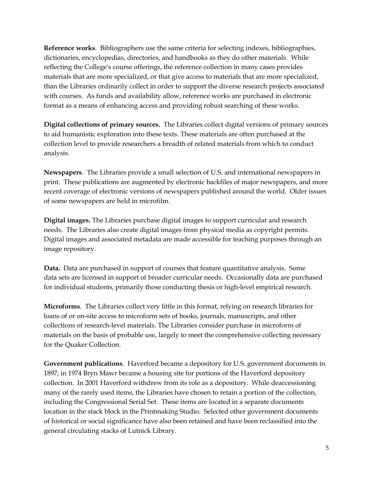**Reference works**. Bibliographers use the same criteria for selecting indexes, bibliographies, dictionaries, encyclopedias, directories, and handbooks as they do other materials. While reflecting the College's course offerings, the reference collection in many cases provides materials that are more specialized, or that give access to materials that are more specialized, than the Libraries ordinarily collect in order to support the diverse research projects associated with courses. As funds and availability allow, reference works are purchased in electronic format as a means of enhancing access and providing robust searching of these works.

**Digital collections of primary sources.** The Libraries collect digital versions of primary sources to aid humanistic exploration into these texts. These materials are often purchased at the collection level to provide researchers a breadth of related materials from which to conduct analysis.

**Newspapers**. The Libraries provide a small selection of U.S. and international newspapers in print. These publications are augmented by electronic backfiles of major newspapers, and more recent coverage of electronic versions of newspapers published around the world. Older issues of some newspapers are held in microfilm.

**Digital images.** The Libraries purchase digital images to support curricular and research needs. The Libraries also create digital images from physical media as copyright permits. Digital images and associated metadata are made accessible for teaching purposes through an image repository.

**Data.** Data are purchased in support of courses that feature quantitative analysis. Some data sets are licensed in support of broader curricular needs. Occasionally data are purchased for individual students, primarily those conducting thesis or high-level empirical research.

**Microforms**. The Libraries collect very little in this format, relying on research libraries for loans of or on-site access to microform sets of books, journals, manuscripts, and other collections of research-level materials. The Libraries consider purchase in microform of materials on the basis of probable use, largely to meet the comprehensive collecting necessary for the Quaker Collection.

**Government publications**. Haverford became a depository for U.S. government documents in 1897; in 1974 Bryn Mawr became a housing site for portions of the Haverford depository collection. In 2001 Haverford withdrew from its role as a depository. While deaccessioning many of the rarely used items, the Libraries have chosen to retain a portion of the collection, including the Congressional Serial Set. These items are located in a separate documents location in the stack block in the Printmaking Studio. Selected other government documents of historical or social significance have also been retained and have been reclassified into the general circulating stacks of Lutnick Library.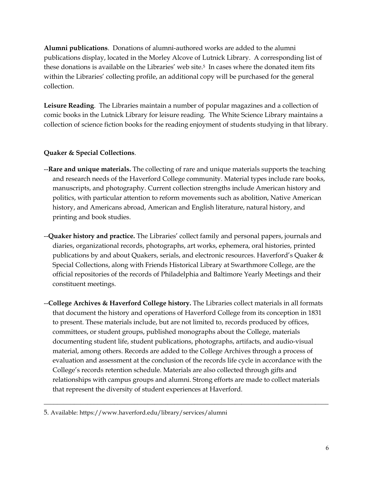**Alumni publications**. Donations of alumni-authored works are added to the alumni publications display, located in the Morley Alcove of Lutnick Library. A corresponding list of these donations is available on the Libraries' web site.<sup>5</sup> In cases where the donated item fits within the Libraries' collecting profile, an additional copy will be purchased for the general collection.

**Leisure Reading**. The Libraries maintain a number of popular magazines and a collection of comic books in the Lutnick Library for leisure reading. The White Science Library maintains a collection of science fiction books for the reading enjoyment of students studying in that library.

### **Quaker & Special Collections**.

- --**Rare and unique materials.** The collecting of rare and unique materials supports the teaching and research needs of the Haverford College community. Material types include rare books, manuscripts, and photography. Current collection strengths include American history and politics, with particular attention to reform movements such as abolition, Native American history, and Americans abroad, American and English literature, natural history, and printing and book studies.
- --**Quaker history and practice.** The Libraries' collect family and personal papers, journals and diaries, organizational records, photographs, art works, ephemera, oral histories, printed publications by and about Quakers, serials, and electronic resources. Haverford's Quaker & Special Collections, along with Friends Historical Library at Swarthmore College, are the official repositories of the records of Philadelphia and Baltimore Yearly Meetings and their constituent meetings.
- --**College Archives & Haverford College history.** The Libraries collect materials in all formats that document the history and operations of Haverford College from its conception in 1831 to present. These materials include, but are not limited to, records produced by offices, committees, or student groups, published monographs about the College, materials documenting student life, student publications, photographs, artifacts, and audio-visual material, among others. Records are added to the College Archives through a process of evaluation and assessment at the conclusion of the records life cycle in accordance with the College's records retention schedule. Materials are also collected through gifts and relationships with campus groups and alumni. Strong efforts are made to collect materials that represent the diversity of student experiences at Haverford.

<sup>5.</sup> Available: https://www.haverford.edu/library/services/alumni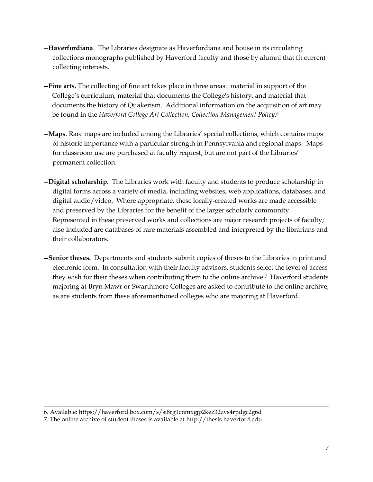- --**Haverfordiana**. The Libraries designate as Haverfordiana and house in its circulating collections monographs published by Haverford faculty and those by alumni that fit current collecting interests.
- **--Fine arts.** The collecting of fine art takes place in three areas: material in support of the College's curriculum, material that documents the College's history, and material that documents the history of Quakerism. Additional information on the acquisition of art may be found in the *Haverford College Art Collection, Collection Management Policy*.6
- --**Maps**. Rare maps are included among the Libraries' special collections, which contains maps of historic importance with a particular strength in Pennsylvania and regional maps. Maps for classroom use are purchased at faculty request, but are not part of the Libraries' permanent collection.
- **--Digital scholarship.** The Libraries work with faculty and students to produce scholarship in digital forms across a variety of media, including websites, web applications, databases, and digital audio/video. Where appropriate, these locally-created works are made accessible and preserved by the Libraries for the benefit of the larger scholarly community. Represented in these preserved works and collections are major research projects of faculty; also included are databases of rare materials assembled and interpreted by the librarians and their collaborators.
- **--Senior theses.** Departments and students submit copies of theses to the Libraries in print and electronic form. In consultation with their faculty advisors, students select the level of access they wish for their theses when contributing them to the online archive.7 Haverford students majoring at Bryn Mawr or Swarthmore Colleges are asked to contribute to the online archive, as are students from these aforementioned colleges who are majoring at Haverford.

<sup>6.</sup> Available: https://haverford.box.com/s/si8rg1cnmxgjp2kez32zvs4rpdgc2g6d

<sup>7.</sup> The online archive of student theses is available at http://thesis.haverford.edu.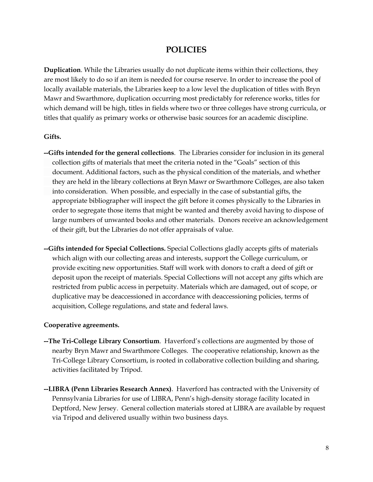## **POLICIES**

**Duplication**. While the Libraries usually do not duplicate items within their collections, they are most likely to do so if an item is needed for course reserve. In order to increase the pool of locally available materials, the Libraries keep to a low level the duplication of titles with Bryn Mawr and Swarthmore, duplication occurring most predictably for reference works, titles for which demand will be high, titles in fields where two or three colleges have strong curricula, or titles that qualify as primary works or otherwise basic sources for an academic discipline.

#### **Gifts.**

- **--Gifts intended for the general collections**. The Libraries consider for inclusion in its general collection gifts of materials that meet the criteria noted in the "Goals" section of this document. Additional factors, such as the physical condition of the materials, and whether they are held in the library collections at Bryn Mawr or Swarthmore Colleges, are also taken into consideration. When possible, and especially in the case of substantial gifts, the appropriate bibliographer will inspect the gift before it comes physically to the Libraries in order to segregate those items that might be wanted and thereby avoid having to dispose of large numbers of unwanted books and other materials. Donors receive an acknowledgement of their gift, but the Libraries do not offer appraisals of value.
- **--Gifts intended for Special Collections.** Special Collections gladly accepts gifts of materials which align with our collecting areas and interests, support the College curriculum, or provide exciting new opportunities. Staff will work with donors to craft a deed of gift or deposit upon the receipt of materials. Special Collections will not accept any gifts which are restricted from public access in perpetuity. Materials which are damaged, out of scope, or duplicative may be deaccessioned in accordance with deaccessioning policies, terms of acquisition, College regulations, and state and federal laws.

#### **Cooperative agreements.**

- **--The Tri-College Library Consortium**. Haverford's collections are augmented by those of nearby Bryn Mawr and Swarthmore Colleges. The cooperative relationship, known as the Tri-College Library Consortium, is rooted in collaborative collection building and sharing, activities facilitated by Tripod.
- **--LIBRA (Penn Libraries Research Annex)**. Haverford has contracted with the University of Pennsylvania Libraries for use of LIBRA, Penn's high-density storage facility located in Deptford, New Jersey. General collection materials stored at LIBRA are available by request via Tripod and delivered usually within two business days.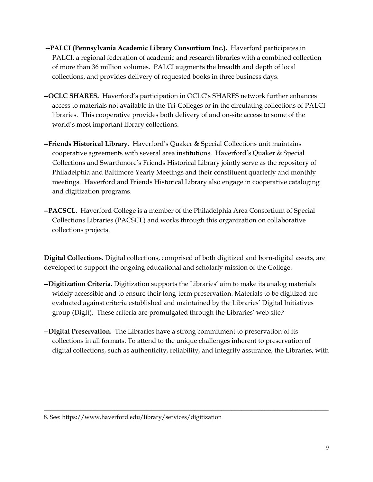- **--PALCI (Pennsylvania Academic Library Consortium Inc.).** Haverford participates in PALCI, a regional federation of academic and research libraries with a combined collection of more than 36 million volumes. PALCI augments the breadth and depth of local collections, and provides delivery of requested books in three business days.
- **--OCLC SHARES.** Haverford's participation in OCLC's SHARES network further enhances access to materials not available in the Tri-Colleges or in the circulating collections of PALCI libraries. This cooperative provides both delivery of and on-site access to some of the world's most important library collections.
- **--Friends Historical Library.** Haverford's Quaker & Special Collections unit maintains cooperative agreements with several area institutions. Haverford's Quaker & Special Collections and Swarthmore's Friends Historical Library jointly serve as the repository of Philadelphia and Baltimore Yearly Meetings and their constituent quarterly and monthly meetings. Haverford and Friends Historical Library also engage in cooperative cataloging and digitization programs.
- **--PACSCL.** Haverford College is a member of the Philadelphia Area Consortium of Special Collections Libraries (PACSCL) and works through this organization on collaborative collections projects.

**Digital Collections.** Digital collections, comprised of both digitized and born-digital assets, are developed to support the ongoing educational and scholarly mission of the College.

- **--Digitization Criteria.** Digitization supports the Libraries' aim to make its analog materials widely accessible and to ensure their long-term preservation. Materials to be digitized are evaluated against criteria established and maintained by the Libraries' Digital Initiatives group (DigIt). These criteria are promulgated through the Libraries' web site.8
- **--Digital Preservation.** The Libraries have a strong commitment to preservation of its collections in all formats. To attend to the unique challenges inherent to preservation of digital collections, such as authenticity, reliability, and integrity assurance, the Libraries, with